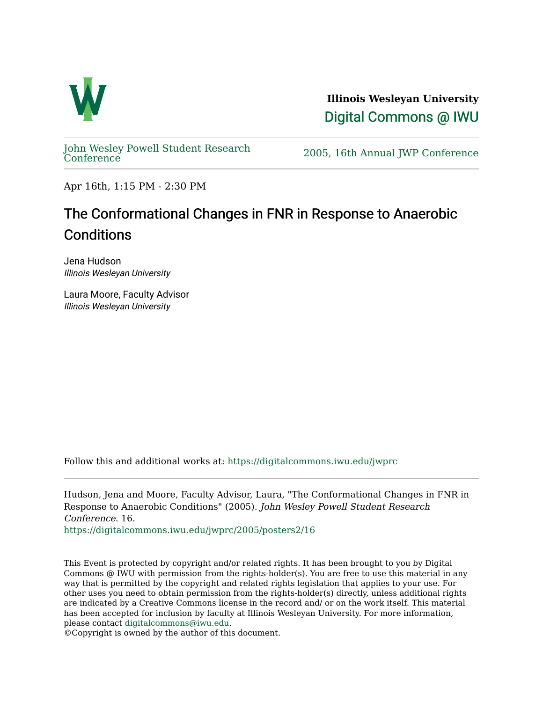

**Illinois Wesleyan University**  [Digital Commons @ IWU](https://digitalcommons.iwu.edu/) 

[John Wesley Powell Student Research](https://digitalcommons.iwu.edu/jwprc) 

2005, 16th Annual JWP [Conference](https://digitalcommons.iwu.edu/jwprc)

Apr 16th, 1:15 PM - 2:30 PM

## The Conformational Changes in FNR in Response to Anaerobic **Conditions**

Jena Hudson Illinois Wesleyan University

Laura Moore, Faculty Advisor Illinois Wesleyan University

Follow this and additional works at: [https://digitalcommons.iwu.edu/jwprc](https://digitalcommons.iwu.edu/jwprc?utm_source=digitalcommons.iwu.edu%2Fjwprc%2F2005%2Fposters2%2F16&utm_medium=PDF&utm_campaign=PDFCoverPages) 

Hudson, Jena and Moore, Faculty Advisor, Laura, "The Conformational Changes in FNR in Response to Anaerobic Conditions" (2005). John Wesley Powell Student Research Conference. 16.

[https://digitalcommons.iwu.edu/jwprc/2005/posters2/16](https://digitalcommons.iwu.edu/jwprc/2005/posters2/16?utm_source=digitalcommons.iwu.edu%2Fjwprc%2F2005%2Fposters2%2F16&utm_medium=PDF&utm_campaign=PDFCoverPages) 

This Event is protected by copyright and/or related rights. It has been brought to you by Digital Commons @ IWU with permission from the rights-holder(s). You are free to use this material in any way that is permitted by the copyright and related rights legislation that applies to your use. For other uses you need to obtain permission from the rights-holder(s) directly, unless additional rights are indicated by a Creative Commons license in the record and/ or on the work itself. This material has been accepted for inclusion by faculty at Illinois Wesleyan University. For more information, please contact [digitalcommons@iwu.edu.](mailto:digitalcommons@iwu.edu)

©Copyright is owned by the author of this document.